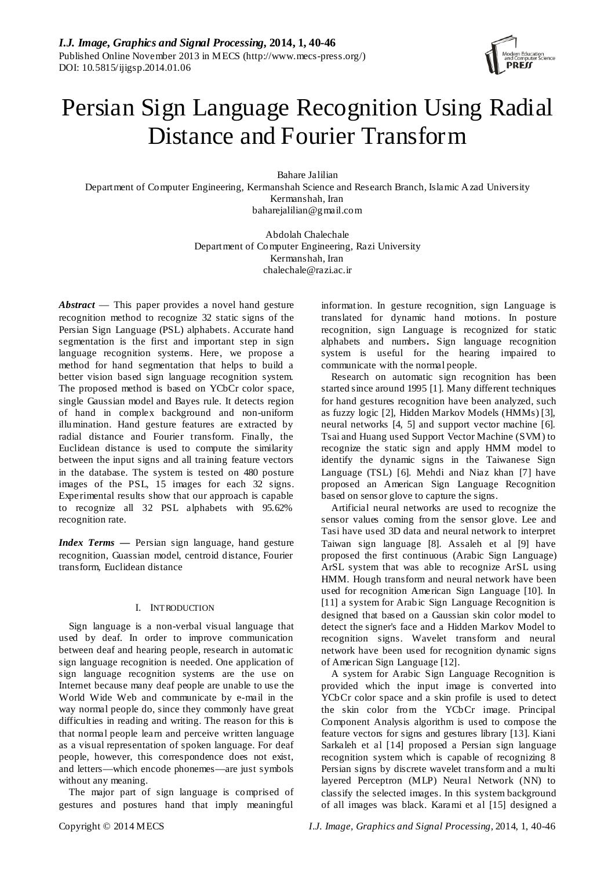

# Persian Sign Language Recognition Using Radial Distance and Fourier Transform

Bahare Jalilian Department of Computer Engineering, Kermanshah Science and Research Branch, Islamic Azad University Kermanshah, Iran baharejalilian@gmail.com

> Abdolah Chalechale Department of Computer Engineering, Razi University Kermanshah, Iran chalechale@razi.ac.ir

*Abstract* — This paper provides a novel hand gesture recognition method to recognize 32 static signs of the Persian Sign Language (PSL) alphabets. Accurate hand segmentation is the first and important step in sign language recognition systems. Here, we propose a method for hand segmentation that helps to build a better vision based sign language recognition system*.* The proposed method is based on YCbCr color space, single Gaussian model and Bayes rule. It detects region of hand in complex background and non-uniform illumination. Hand gesture features are extracted by radial distance and Fourier transform. Finally, the Euclidean distance is used to compute the similarity between the input signs and all training feature vectors in the database. The system is tested on 480 posture images of the PSL, 15 images for each 32 signs. Experimental results show that our approach is capable to recognize all 32 PSL alphabets with 95.62% recognition rate.

*Index Terms —* Persian sign language, hand gesture recognition, Guassian model, centroid distance, Fourier transform, Euclidean distance

## I. INTRODUCTION

Sign language is a non-verbal visual language that used by deaf. In order to improve communication between deaf and hearing people, research in automatic sign language recognition is needed. One application of sign language recognition systems are the use on Internet because many deaf people are unable to use the World Wide Web and communicate by e-mail in the way normal people do, since they commonly have great difficulties in reading and writing. The reason for this is that normal people learn and perceive written language as a visual representation of spoken language. For deaf people, however, this correspondence does not exist, and letters—which encode phonemes—are just symbols without any meaning.

The major part of sign language is comprised of gestures and postures hand that imply meaningful

information. In gesture recognition, sign Language is translated for dynamic hand motions. In posture recognition, sign Language is recognized for static alphabets and numbers**.** Sign language recognition system is useful for the hearing impaired to communicate with the normal people.

Research on automatic sign recognition has been started since around 1995 [1]. Many different techniques for hand gestures recognition have been analyzed, such as fuzzy logic [2], Hidden Markov Models (HMMs) [3], neural networks [4, 5] and support vector machine [6]. Tsai and Huang used Support Vector Machine (SVM) to recognize the static sign and apply HMM model to identify the dynamic signs in the Taiwanese Sign Language (TSL) [6]. Mehdi and Niaz khan [7] have proposed an American Sign Language Recognition based on sensor glove to capture the signs.

Artificial neural networks are used to recognize the sensor values coming from the sensor glove. Lee and Tasi have used 3D data and neural network to interpret Taiwan sign language [8]. Assaleh et al [9] have proposed the first continuous (Arabic Sign Language) ArSL system that was able to recognize ArSL using HMM. Hough transform and neural network have been used for recognition American Sign Language [10]. In [11] a system for Arabic Sign Language Recognition is designed that based on a Gaussian skin color model to detect the signer's face and a Hidden Markov Model to recognition signs. Wavelet transform and neural network have been used for recognition dynamic signs of American Sign Language [12].

A system for Arabic Sign Language Recognition is provided which the input image is converted into YCbCr color space and a skin profile is used to detect the skin color from the YCbCr image. Principal Component Analysis algorithm is used to compose the feature vectors for signs and gestures library [13]. Kiani Sarkaleh et al [14] proposed a Persian sign language recognition system which is capable of recognizing 8 Persian signs by discrete wavelet transform and a multi layered Perceptron (MLP) Neural Network (NN) to classify the selected images. In this system background of all images was black. Karami et al [15] designed a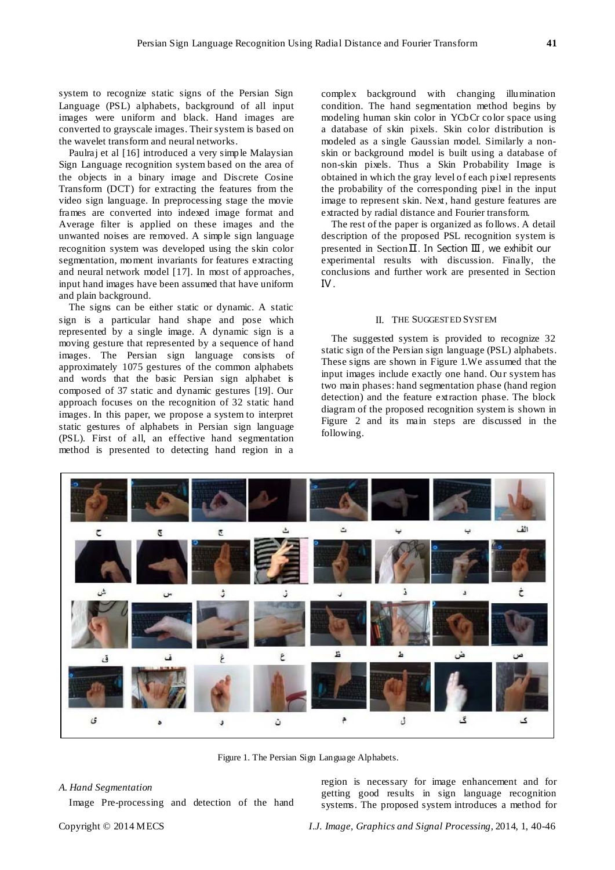system to recognize static signs of the Persian Sign Language (PSL) alphabets, background of all input images were uniform and black. Hand images are converted to grayscale images. Their system is based on the wavelet transform and neural networks.

Paulraj et al [16] introduced a very simple Malaysian Sign Language recognition system based on the area of the objects in a binary image and Discrete Cosine Transform (DCT) for extracting the features from the video sign language. In preprocessing stage the movie frames are converted into indexed image format and Average filter is applied on these images and the unwanted noises are removed. A simple sign language recognition system was developed using the skin color segmentation, moment invariants for features extracting and neural network model [17]. In most of approaches, input hand images have been assumed that have uniform and plain background.

The signs can be either static or dynamic. A static sign is a particular hand shape and pose which represented by a single image. A dynamic sign is a moving gesture that represented by a sequence of hand images. The Persian sign language consists of approximately 1075 gestures of the common alphabets and words that the basic Persian sign alphabet is composed of 37 static and dynamic gestures [19]. Our approach focuses on the recognition of 32 static hand images. In this paper, we propose a system to interpret static gestures of alphabets in Persian sign language (PSL). First of all, an effective hand segmentation method is presented to detecting hand region in a

complex background with changing illumination condition. The hand segmentation method begins by modeling human skin color in YCbCr color space using a database of skin pixels. Skin color distribution is modeled as a single Gaussian model. Similarly a nonskin or background model is built using a database of non-skin pixels. Thus a Skin Probability Image is obtained in which the gray level of each pixel represents the probability of the corresponding pixel in the input image to represent skin. Next, hand gesture features are extracted by radial distance and Fourier transform.

The rest of the paper is organized as follows. A detail description of the proposed PSL recognition system is presented in Section Ⅱ. In Section Ⅲ , we exhibit our experimental results with discussion. Finally, the conclusions and further work are presented in Section Ⅳ.

#### II. THE SUGGESTED SYSTEM

The suggested system is provided to recognize 32 static sign of the Persian sign language (PSL) alphabets. These signs are shown in Figure 1.We assumed that the input images include exactly one hand. Our system has two main phases: hand segmentation phase (hand region detection) and the feature extraction phase. The block diagram of the proposed recognition system is shown in Figure 2 and its main steps are discussed in the following.



Figure 1. The Persian Sign Language Alphabets.

#### *A. Hand Segmentation*

Image Pre-processing and detection of the hand

region is necessary for image enhancement and for getting good results in sign language recognition systems. The proposed system introduces a method for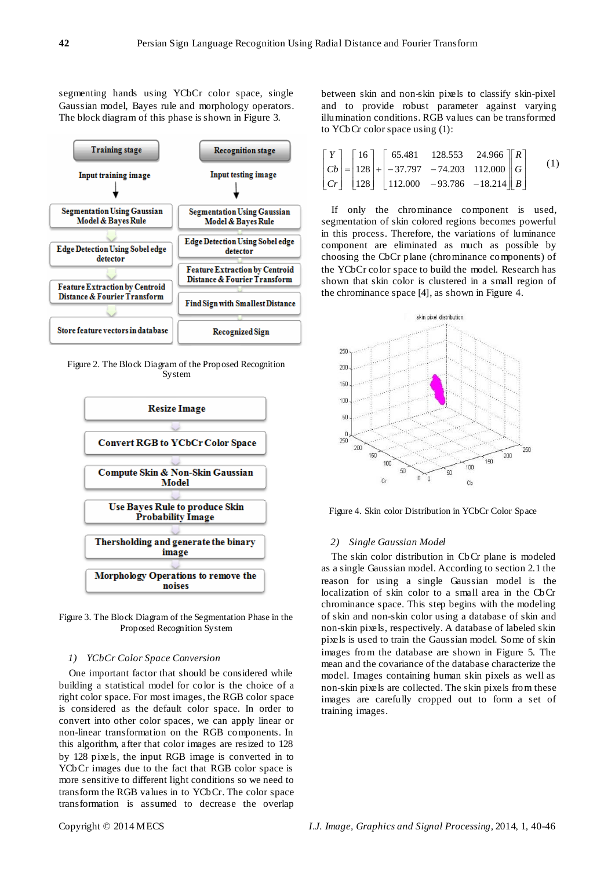segmenting hands using YCbCr color space, single Gaussian model, Bayes rule and morphology operators. The block diagram of this phase is shown in Figure 3.



Figure 2. The Block Diagram of the Proposed Recognition System



Figure 3. The Block Diagram of the Segmentation Phase in the Proposed Recognition System

## *1) YCbCr Color Space Conversion*

One important factor that should be considered while building a statistical model for color is the choice of a right color space. For most images, the RGB color space is considered as the default color space. In order to convert into other color spaces, we can apply linear or non-linear transformation on the RGB components. In this algorithm, after that color images are resized to 128 by 128 pixels, the input RGB image is converted in to YCbCr images due to the fact that RGB color space is more sensitive to different light conditions so we need to transform the RGB values in to YCbCr. The color space transformation is assumed to decrease the overlap

between skin and non-skin pixels to classify skin-pixel and to provide robust parameter against varying illumination conditions. RGB values can be transformed to YCbCr color space using (1):

$$
\begin{bmatrix} Y \\ Cb \\ Cr \end{bmatrix} = \begin{bmatrix} 16 \\ 128 \\ 128 \end{bmatrix} + \begin{bmatrix} 65.481 & 128.553 & 24.966 \\ -37.797 & -74.203 & 112.000 \\ 112.000 & -93.786 & -18.214 \end{bmatrix} \begin{bmatrix} R \\ G \\ B \end{bmatrix}
$$
 (1)

If only the chrominance component is used, segmentation of skin colored regions becomes powerful in this process. Therefore, the variations of luminance component are eliminated as much as possible by choosing the CbCr plane (chrominance components) of the YCbCr color space to build the model. Research has shown that skin color is clustered in a small region of the chrominance space [4], as shown in Figure 4.



Figure 4. Skin color Distribution in YCbCr Color Space

## *2) Single Gaussian Model*

The skin color distribution in CbCr plane is modeled as a single Gaussian model. According to section 2.1 the reason for using a single Gaussian model is the localization of skin color to a small area in the CbCr chrominance space. This step begins with the modeling of skin and non-skin color using a database of skin and non-skin pixels, respectively. A database of labeled skin pixels is used to train the Gaussian model. Some of skin images from the database are shown in Figure 5. The mean and the covariance of the database characterize the model. Images containing human skin pixels as well as non-skin pixels are collected. The skin pixels from these images are carefully cropped out to form a set of training images.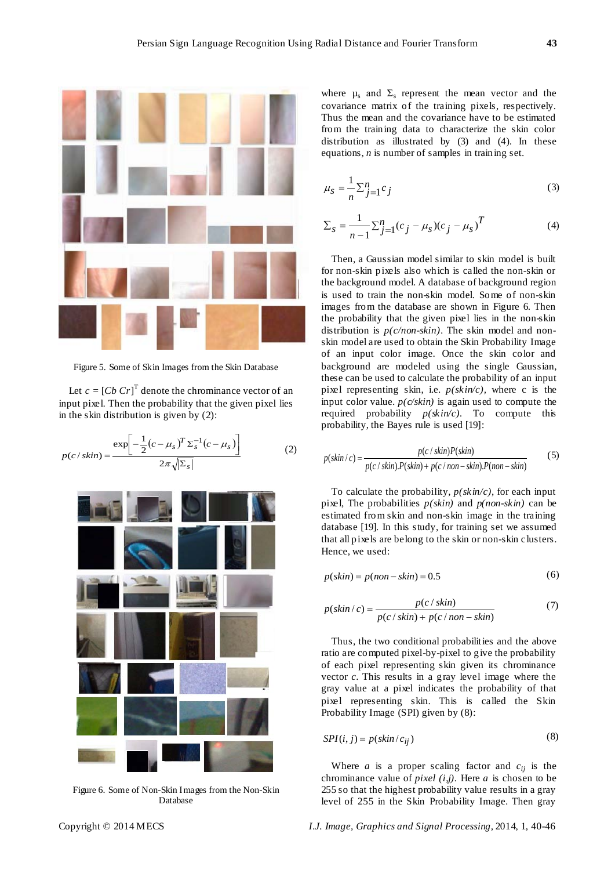

Figure 5. Some of Skin Images from the Skin Database

Let  $c = [Cb \, Cr]^T$  denote the chrominance vector of an input pixel. Then the probability that the given pixel lies in the skin distribution is given by (2):

$$
p(c/skin) = \frac{\exp\left[-\frac{1}{2}(c-\mu_s)^T \Sigma_s^{-1}(c-\mu_s)\right]}{2\pi\sqrt{|\Sigma_s|}}
$$
(2)



Figure 6. Some of Non-Skin Images from the Non-Skin Database

where  $\mu_s$  and  $\Sigma_s$  represent the mean vector and the covariance matrix of the training pixels, respectively. Thus the mean and the covariance have to be estimated from the training data to characterize the skin color distribution as illustrated by (3) and (4). In these equations, *n* is number of samples in training set.

$$
\mu_S = \frac{1}{n} \sum_{j=1}^n c_j \tag{3}
$$

$$
\Sigma_{s} = \frac{1}{n-1} \Sigma_{j=1}^{n} (c_{j} - \mu_{s}) (c_{j} - \mu_{s})^{T}
$$
 (4)

Then, a Gaussian model similar to skin model is built for non-skin pixels also which is called the non-skin or the background model. A database of background region is used to train the non-skin model. Some of non-skin images from the database are shown in Figure 6. Then the probability that the given pixel lies in the non-skin distribution is *p(c/non-skin)*. The skin model and nonskin model are used to obtain the Skin Probability Image of an input color image. Once the skin color and background are modeled using the single Gaussian, these can be used to calculate the probability of an input pixel representing skin, i.e. *p(skin/c),* where c is the input color value.  $p(c/\sin)$  is again used to compute the required probability *p(skin/c).* To compute this probability, the Bayes rule is used [19]:

$$
p(\textit{skin}/c) = \frac{p(c/\textit{skin})P(\textit{skin})}{p(c/\textit{skin})P(\textit{skin}) + p(c/\textit{non}-\textit{skin})P(\textit{non}-\textit{skin})}
$$
(5)

To calculate the probability*, p(skin/c)*, for each input pixel, The probabilities *p(skin)* and *p(non-skin)* can be estimated from skin and non-skin image in the training database [19]. In this study, for training set we assumed that all pixels are belong to the skin or non-skin clusters. Hence, we used:

$$
p(\text{skin}) = p(\text{non-skin}) = 0.5 \tag{6}
$$

$$
p(\textit{skin}/c) = \frac{p(c/\textit{skin})}{p(c/\textit{skin}) + p(c/\textit{non}-\textit{skin})}
$$
(7)

Thus, the two conditional probabilities and the above ratio are computed pixel-by-pixel to give the probability of each pixel representing skin given its chrominance vector *c*. This results in a gray level image where the gray value at a pixel indicates the probability of that pixel representing skin. This is called the Skin Probability Image (SPI) given by (8):

$$
SPI(i, j) = p(\text{skin}/c_{ij})
$$
\n(8)

Where  $a$  is a proper scaling factor and  $c_{ij}$  is the chrominance value of *pixel (i,j).* Here *a* is chosen to be 255 so that the highest probability value results in a gray level of 255 in the Skin Probability Image. Then gray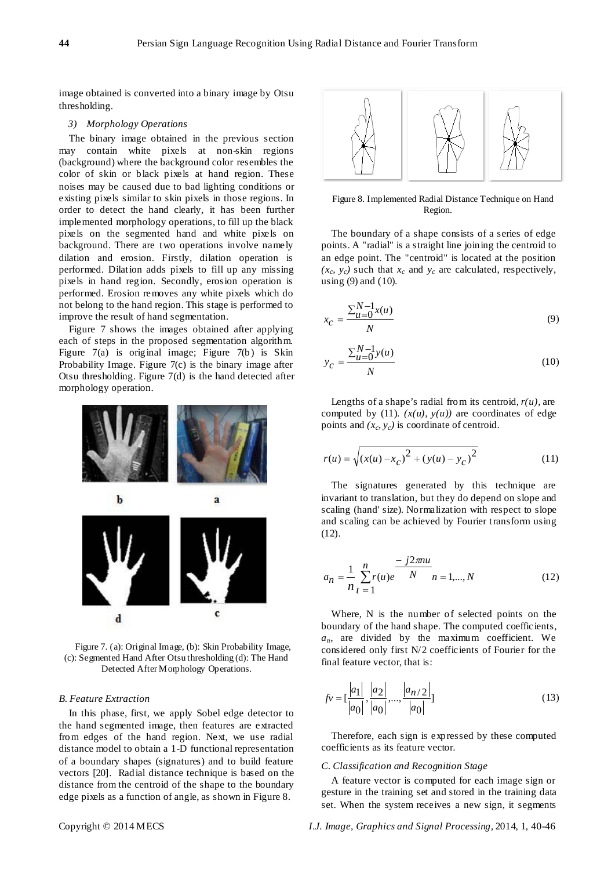image obtained is converted into a binary image by Otsu thresholding.

#### *3) Morphology Operations*

The binary image obtained in the previous section may contain white pixels at non-skin regions (background) where the background color resembles the color of skin or black pixels at hand region. These noises may be caused due to bad lighting conditions or existing pixels similar to skin pixels in those regions. In order to detect the hand clearly, it has been further implemented morphology operations, to fill up the black pixels on the segmented hand and white pixels on background. There are two operations involve namely dilation and erosion. Firstly, dilation operation is performed. Dilation adds pixels to fill up any missing pixels in hand region. Secondly, erosion operation is performed. Erosion removes any white pixels which do not belong to the hand region. This stage is performed to improve the result of hand segmentation.

Figure 7 shows the images obtained after applying each of steps in the proposed segmentation algorithm. Figure 7(a) is original image; Figure 7(b) is Skin Probability Image. Figure 7(c) is the binary image after Otsu thresholding. Figure 7(d) is the hand detected after morphology operation.



Figure 7. (a): Original Image, (b): Skin Probability Image, (c): Segmented Hand After Otsu thresholding (d): The Hand Detected After Morphology Operations.

## *B. Feature Extraction*

In this phase, first, we apply Sobel edge detector to the hand segmented image, then features are extracted from edges of the hand region. Next, we use radial distance model to obtain a 1-D functional representation of a boundary shapes (signatures) and to build feature vectors [20]. Radial distance technique is based on the distance from the centroid of the shape to the boundary edge pixels as a function of angle, as shown in Figure 8.



Figure 8. Implemented Radial Distance Technique on Hand Region.

The boundary of a shape consists of a series of edge points. A "radial" is a straight line joining the centroid to an edge point. The "centroid" is located at the position  $(x_c, y_c)$  such that  $x_c$  and  $y_c$  are calculated, respectively, using (9) and (10).

$$
x_C = \frac{\sum_{u=0}^{N-1} x(u)}{N}
$$
(9)

$$
y_C = \frac{\sum_{u=0}^{N-1} y(u)}{N}
$$
 (10)

Lengths of a shape's radial from its centroid,  $r(u)$ , are computed by (11).  $(x(u), y(u))$  are coordinates of edge points and  $(x_c, y_c)$  is coordinate of centroid.

$$
r(u) = \sqrt{(x(u) - x_c)^2 + (y(u) - y_c)^2}
$$
 (11)

The signatures generated by this technique are invariant to translation, but they do depend on slope and scaling (hand' size). Normalization with respect to slope and scaling can be achieved by Fourier transform using (12).

$$
a_n = \frac{1}{n} \sum_{t=1}^n r(u)e^{-\frac{-j2\pi nu}{N}} = 1, ..., N
$$
 (12)

Where, N is the number of selected points on the boundary of the hand shape. The computed coefficients,  $a_n$ , are divided by the maximum coefficient. We considered only first N/2 coefficients of Fourier for the final feature vector, that is:

$$
fv = \left[\frac{|a_1|}{|a_0|}, \frac{|a_2|}{|a_0|}, \dots, \frac{|a_{n/2}|}{|a_0|}\right]
$$
(13)

Therefore, each sign is expressed by these computed coefficients as its feature vector.

## *C. Classification and Recognition Stage*

A feature vector is computed for each image sign or gesture in the training set and stored in the training data set. When the system receives a new sign, it segments

Copyright © 2014 MECS *I.J. Image, Graphics and Signal Processing,* 2014, 1, 40-46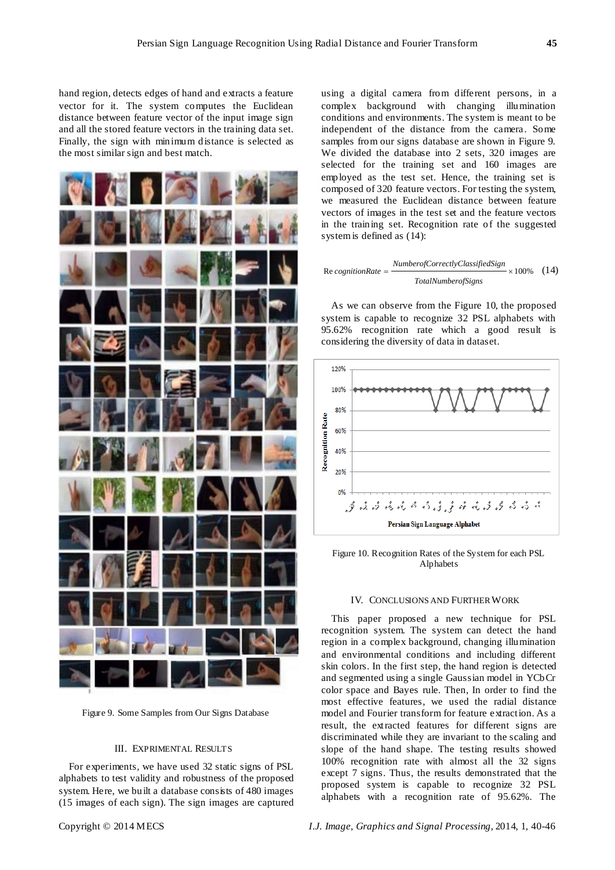hand region, detects edges of hand and extracts a feature vector for it. The system computes the Euclidean distance between feature vector of the input image sign and all the stored feature vectors in the training data set. Finally, the sign with minimum distance is selected as the most similar sign and best match.



Figure 9. Some Samples from Our Signs Database

#### III. EXPRIMENTAL RESULTS

For experiments, we have used 32 static signs of PSL alphabets to test validity and robustness of the proposed system. Here, we built a database consists of 480 images (15 images of each sign). The sign images are captured using a digital camera from different persons, in a complex background with changing illumination conditions and environments. The system is meant to be independent of the distance from the camera. Some samples from our signs database are shown in Figure 9. We divided the database into 2 sets, 320 images are selected for the training set and 160 images are employed as the test set. Hence, the training set is composed of 320 feature vectors. For testing the system, we measured the Euclidean distance between feature vectors of images in the test set and the feature vectors in the training set. Recognition rate of the suggested system is defined as (14):

Re *cognitionRate* = 
$$
\frac{Number of CorrectlyClassifiedSign}{TotalNumber of Signals} \times 100\% \quad (14)
$$

As we can observe from the Figure 10, the proposed system is capable to recognize 32 PSL alphabets with 95.62% recognition rate which a good result is considering the diversity of data in dataset.



Figure 10. Recognition Rates of the System for each PSL Alphabets

#### IV. CONCLUSIONS AND FURTHER WORK

This paper proposed a new technique for PSL recognition system. The system can detect the hand region in a complex background, changing illumination and environmental conditions and including different skin colors. In the first step, the hand region is detected and segmented using a single Gaussian model in YCbCr color space and Bayes rule. Then, In order to find the most effective features, we used the radial distance model and Fourier transform for feature extraction. As a result, the extracted features for different signs are discriminated while they are invariant to the scaling and slope of the hand shape. The testing results showed 100% recognition rate with almost all the 32 signs except 7 signs. Thus, the results demonstrated that the proposed system is capable to recognize 32 PSL alphabets with a recognition rate of 95.62%. The